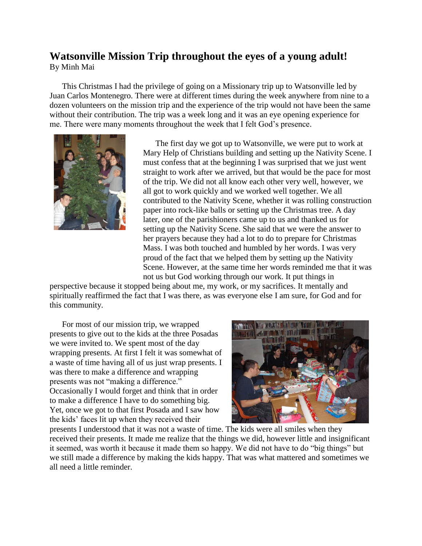## **Watsonville Mission Trip throughout the eyes of a young adult!** By Minh Mai

 This Christmas I had the privilege of going on a Missionary trip up to Watsonville led by Juan Carlos Montenegro. There were at different times during the week anywhere from nine to a dozen volunteers on the mission trip and the experience of the trip would not have been the same without their contribution. The trip was a week long and it was an eye opening experience for me. There were many moments throughout the week that I felt God's presence.



The first day we got up to Watsonville, we were put to work at Mary Help of Christians building and setting up the Nativity Scene. I must confess that at the beginning I was surprised that we just went straight to work after we arrived, but that would be the pace for most of the trip. We did not all know each other very well, however, we all got to work quickly and we worked well together. We all contributed to the Nativity Scene, whether it was rolling construction paper into rock-like balls or setting up the Christmas tree. A day later, one of the parishioners came up to us and thanked us for setting up the Nativity Scene. She said that we were the answer to her prayers because they had a lot to do to prepare for Christmas Mass. I was both touched and humbled by her words. I was very proud of the fact that we helped them by setting up the Nativity Scene. However, at the same time her words reminded me that it was not us but God working through our work. It put things in

perspective because it stopped being about me, my work, or my sacrifices. It mentally and spiritually reaffirmed the fact that I was there, as was everyone else I am sure, for God and for this community.

For most of our mission trip, we wrapped presents to give out to the kids at the three Posadas we were invited to. We spent most of the day wrapping presents. At first I felt it was somewhat of a waste of time having all of us just wrap presents. I was there to make a difference and wrapping presents was not "making a difference." Occasionally I would forget and think that in order to make a difference I have to do something big. Yet, once we got to that first Posada and I saw how the kids' faces lit up when they received their



presents I understood that it was not a waste of time. The kids were all smiles when they received their presents. It made me realize that the things we did, however little and insignificant it seemed, was worth it because it made them so happy. We did not have to do "big things" but we still made a difference by making the kids happy. That was what mattered and sometimes we all need a little reminder.